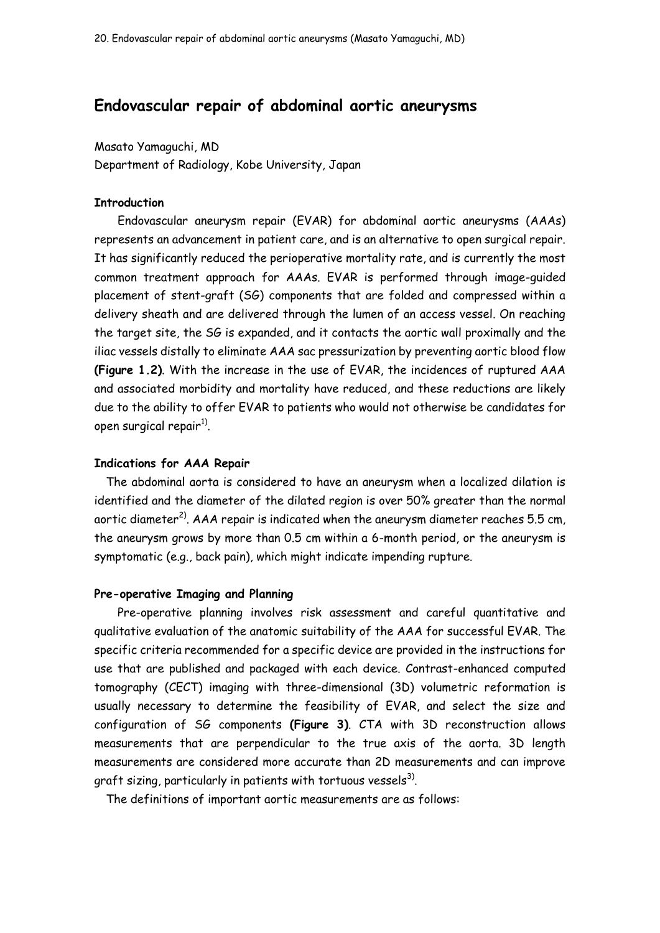# **Endovascular repair of abdominal aortic aneurysms**

#### Masato Yamaguchi, MD

Department of Radiology, Kobe University, Japan

## **Introduction**

Endovascular aneurysm repair (EVAR) for abdominal aortic aneurysms (AAAs) represents an advancement in patient care, and is an alternative to open surgical repair. It has significantly reduced the perioperative mortality rate, and is currently the most common treatment approach for AAAs. EVAR is performed through image-guided placement of stent-graft (SG) components that are folded and compressed within a delivery sheath and are delivered through the lumen of an access vessel. On reaching the target site, the SG is expanded, and it contacts the aortic wall proximally and the iliac vessels distally to eliminate AAA sac pressurization by preventing aortic blood flow **[\(Figure 1.](http://www.uptodate.com/contents/image?imageKey=SURG%2F56289&topicKey=SURG%2F15203&rank=1%7E73&source=see_link&search=EVAR)2)**. With the increase in the use of EVAR, the incidences of ruptured AAA and associated morbidity and mortality have reduced, and these reductions are likely due to the ability to offer EVAR to patients who would not otherwise be candidates for open surgical repair $^{\rm 1)}$ .

#### **Indications for AAA Repair**

The abdominal aorta is considered to have an aneurysm when a localized dilation is identified and the diameter of the dilated region is over 50% greater than the normal aortic diameter<sup>2)</sup>. AAA repair is indicated when the aneurysm diameter reaches 5.5 cm, the aneurysm grows by more than 0.5 cm within a 6-month period, or the aneurysm is symptomatic (e.g., back pain), which might indicate impending rupture.

#### **Pre-operative Imaging and Planning**

Pre-operative planning involves risk assessment and careful quantitative and qualitative evaluation of the anatomic suitability of the AAA for successful EVAR. The specific criteria recommended for a specific device are provided in the instructions for use that are published and packaged with each device. Contrast-enhanced computed tomography (CECT) imaging with three-dimensional (3D) volumetric reformation is usually necessary to determine the feasibility of EVAR, and select the size and configuration of SG components **[\(Figure 3\)](http://www.uptodate.com/contents/image?imageKey=SURG%2F72328&topicKey=SURG%2F15203&rank=1%7E73&source=see_link&search=EVAR)**. CTA with 3D reconstruction allows measurements that are perpendicular to the true axis of the aorta. 3D length measurements are considered more accurate than 2D measurements and can improve graft sizing, particularly in patients with tortuous vessels $^{\rm 3)}$ .

The definitions of important aortic measurements are as follows: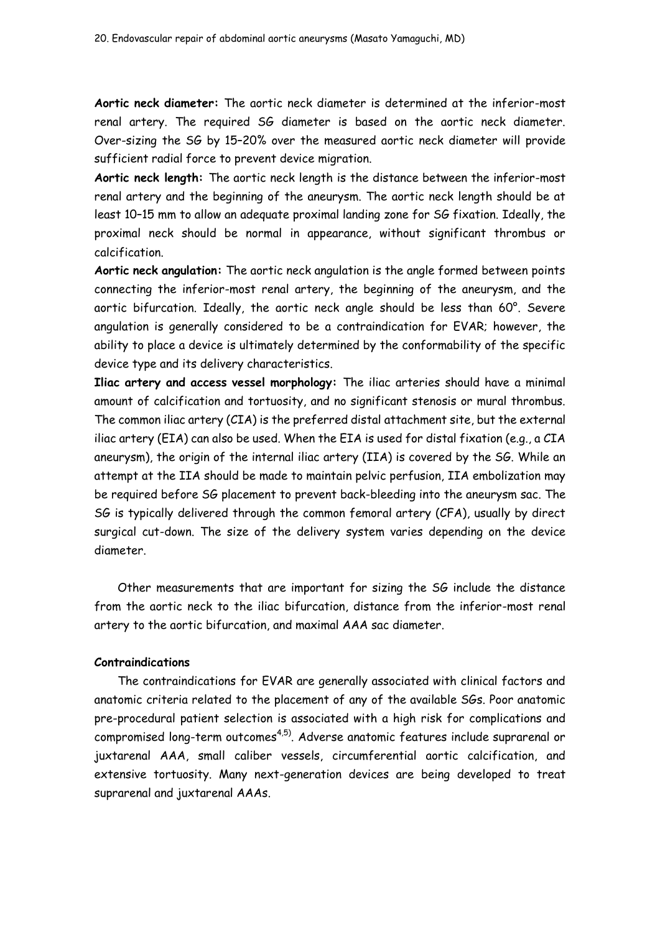**Aortic neck diameter:** The aortic neck diameter is determined at the inferior-most renal artery. The required SG diameter is based on the aortic neck diameter. Over-sizing the SG by 15–20% over the measured aortic neck diameter will provide sufficient radial force to prevent device migration.

**Aortic neck length:** The aortic neck length is the distance between the inferior-most renal artery and the beginning of the aneurysm. The aortic neck length should be at least 10–15 mm to allow an adequate proximal landing zone for SG fixation. Ideally, the proximal neck should be normal in appearance, without significant thrombus or calcification.

**Aortic neck angulation:** The aortic neck angulation is the angle formed between points connecting the inferior-most renal artery, the beginning of the aneurysm, and the aortic bifurcation. Ideally, the aortic neck angle should be less than 60°. Severe angulation is generally considered to be a contraindication for EVAR; however, the ability to place a device is ultimately determined by the conformability of the specific device type and its delivery characteristics.

**Iliac artery and access vessel morphology:** The iliac arteries should have a minimal amount of calcification and tortuosity, and no significant stenosis or mural thrombus. The common iliac artery (CIA) is the preferred distal attachment site, but the external iliac artery (EIA) can also be used. When the EIA is used for distal fixation (e.g., a CIA aneurysm), the origin of the internal iliac artery (IIA) is covered by the SG. While an attempt at the IIA should be made to maintain pelvic perfusion, IIA embolization may be required before SG placement to prevent back-bleeding into the aneurysm sac. The SG is typically delivered through the common femoral artery (CFA), usually by direct surgical cut-down. The size of the delivery system varies depending on the device diameter.

Other measurements that are important for sizing the SG include the distance from the aortic neck to the iliac bifurcation, distance from the inferior-most renal artery to the aortic bifurcation, and maximal AAA sac diameter.

## **Contraindications**

The contraindications for EVAR are generally associated with clinical factors and anatomic criteria related to the placement of any of the available SGs. Poor anatomic pre-procedural patient selection is associated with a high risk for complications and compromised long-term outcomes<sup>4,5)</sup>. Adverse anatomic features include suprarenal or juxtarenal AAA, small caliber vessels, circumferential aortic calcification, and extensive tortuosity. Many next-generation devices are being developed to treat suprarenal and juxtarenal AAAs.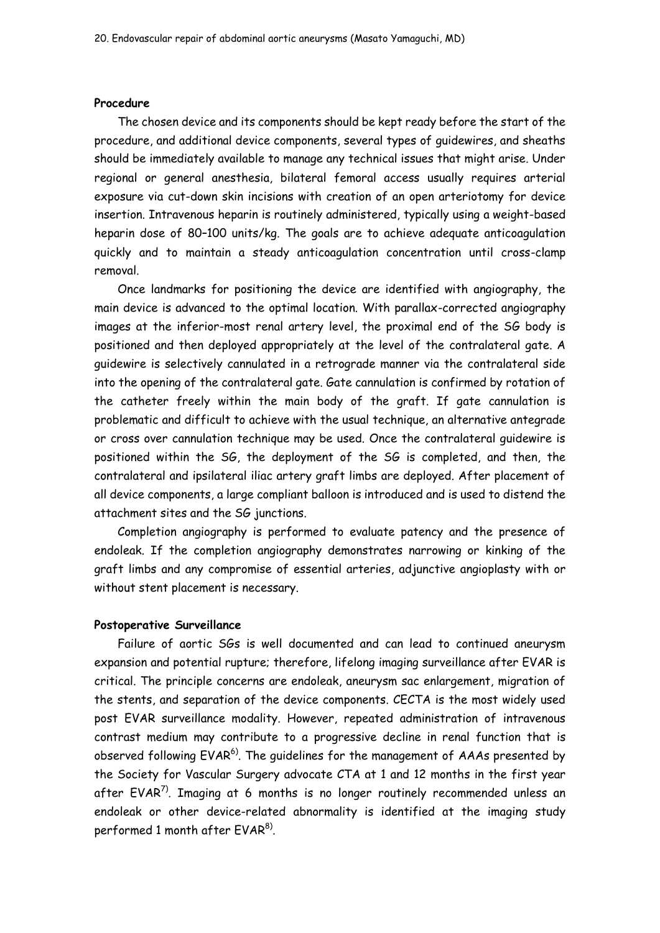### **Procedure**

The chosen device and its components should be kept ready before the start of the procedure, and additional device components, several types of guidewires, and sheaths should be immediately available to manage any technical issues that might arise. Under regional or general anesthesia, bilateral femoral access usually requires arterial exposure via cut-down skin incisions with creation of an open arteriotomy for device insertion. Intravenous heparin is routinely administered, typically using a weight-based heparin dose of 80–100 units/kg. The goals are to achieve adequate anticoagulation quickly and to maintain a steady anticoagulation concentration until cross-clamp removal.

Once landmarks for positioning the device are identified with angiography, the main device is advanced to the optimal location. With parallax-corrected angiography images at the inferior-most renal artery level, the proximal end of the SG body is positioned and then deployed appropriately at the level of the contralateral gate. A guidewire is selectively cannulated in a retrograde manner via the contralateral side into the opening of the contralateral gate. Gate cannulation is confirmed by rotation of the catheter freely within the main body of the graft. If gate cannulation is problematic and difficult to achieve with the usual technique, an alternative antegrade or cross over cannulation technique may be used. Once the contralateral guidewire is positioned within the SG, the deployment of the SG is completed, and then, the contralateral and ipsilateral iliac artery graft limbs are deployed. After placement of all device components, a large compliant balloon is introduced and is used to distend the attachment sites and the SG junctions.

Completion angiography is performed to evaluate patency and the presence of endoleak. If the completion angiography demonstrates narrowing or kinking of the graft limbs and any compromise of essential arteries, adjunctive angioplasty with or without stent placement is necessary.

### **Postoperative Surveillance**

Failure of aortic SGs is well documented and can lead to continued aneurysm expansion and potential rupture; therefore, lifelong imaging surveillance after EVAR is critical. The principle concerns are endoleak, aneurysm sac enlargement, migration of the stents, and separation of the device components. CECTA is the most widely used post EVAR surveillance modality. However, repeated administration of intravenous contrast medium may contribute to a progressive decline in renal function that is observed following EVAR<sup>6)</sup>. The guidelines for the management of AAAs presented by the Society for Vascular Surgery advocate CTA at 1 and 12 months in the first year after EVAR<sup>7</sup>. Imaging at 6 months is no longer routinely recommended unless an endoleak or other device-related abnormality is identified at the imaging study performed 1 month after  $\mathsf{EVAR}^{8)}$ .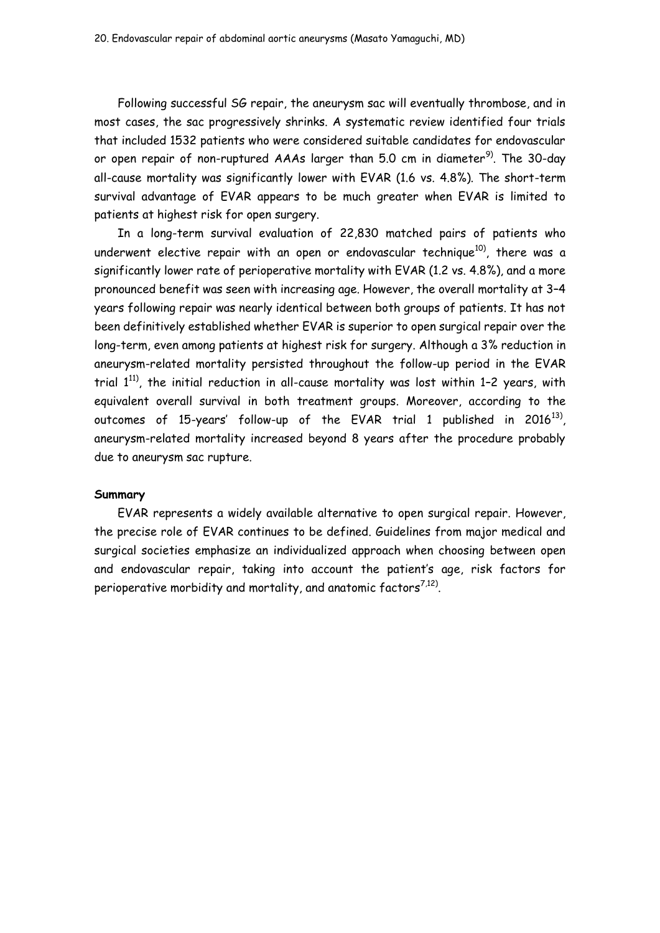Following successful SG repair, the aneurysm sac will eventually thrombose, and in most cases, the sac progressively shrinks. A systematic review identified four trials that included 1532 patients who were considered suitable candidates for endovascular or open repair of non-ruptured AAAs larger than 5.0 cm in diameter<sup>9)</sup>. The 30-day all-cause mortality was significantly lower with EVAR (1.6 vs. 4.8%). The short-term survival advantage of EVAR appears to be much greater when EVAR is limited to patients at highest risk for open surgery.

In a long-term survival evaluation of 22,830 matched pairs of patients who underwent elective repair with an open or endovascular technique<sup>10)</sup>, there was a significantly lower rate of perioperative mortality with EVAR (1.2 vs. 4.8%), and a more pronounced benefit was seen with increasing age. However, the overall mortality at 3–4 years following repair was nearly identical between both groups of patients. It has not been definitively established whether EVAR is superior to open surgical repair over the long-term, even among patients at highest risk for surgery. Although a 3% reduction in aneurysm-related mortality persisted throughout the follow-up period in the EVAR trial  $1^{11}$ ), the initial reduction in all-cause mortality was lost within 1-2 years, with equivalent overall survival in both treatment groups. Moreover, according to the outcomes of 15-years' follow-up of the EVAR trial 1 published in 2016 $^{13}$ ), aneurysm-related mortality increased beyond 8 years after the procedure probably due to aneurysm sac rupture.

### **Summary**

EVAR represents a widely available alternative to open surgical repair. However, the precise role of EVAR continues to be defined. Guidelines from major medical and surgical societies emphasize an individualized approach when choosing between open and endovascular repair, taking into account the patient's age, risk factors for perioperative morbidity and mortality, and anatomic factors $^{7,12)}$  $^{7,12)}$  $^{7,12)}$ .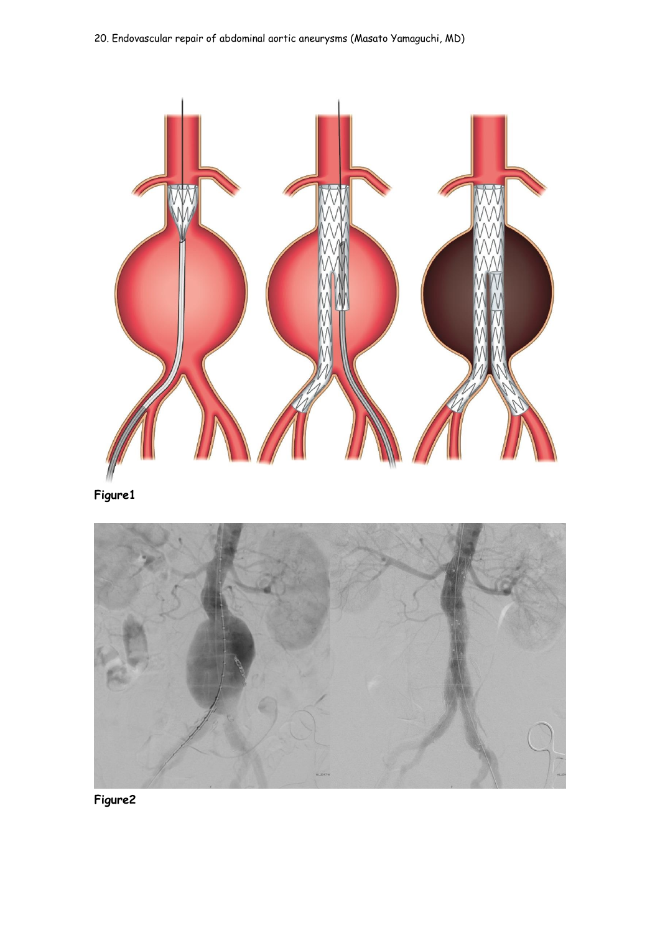

**Figure1**



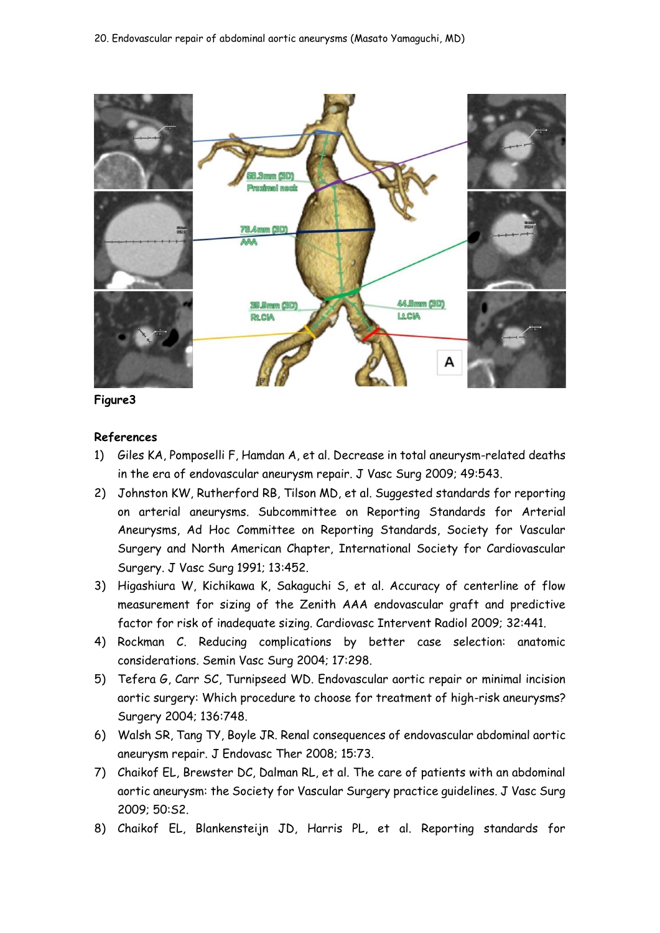



# **References**

- 1) [Giles KA, Pomposelli F, Hamdan A, et al. Decrease in total aneurysm-related deaths](http://www.uptodate.com/contents/endovascular-repair-of-abdominal-aortic-aneurysm/abstract/2)  [in the era of endovascular aneurysm repair. J Vasc Surg 2009; 49:543.](http://www.uptodate.com/contents/endovascular-repair-of-abdominal-aortic-aneurysm/abstract/2)
- 2) [Johnston KW, Rutherford RB, Tilson MD, et al. Suggested standards for reporting](http://www.uptodate.com/contents/endovascular-repair-of-abdominal-aortic-aneurysm/abstract/3)  [on arterial aneurysms. Subcommittee on Reporting Standards for Arterial](http://www.uptodate.com/contents/endovascular-repair-of-abdominal-aortic-aneurysm/abstract/3)  [Aneurysms, Ad Hoc Committee on Reporting Standards, Society for Vascular](http://www.uptodate.com/contents/endovascular-repair-of-abdominal-aortic-aneurysm/abstract/3)  [Surgery and North American Chapter, International Society for Cardiovascular](http://www.uptodate.com/contents/endovascular-repair-of-abdominal-aortic-aneurysm/abstract/3)  [Surgery. J Vasc Surg 1991; 13:452.](http://www.uptodate.com/contents/endovascular-repair-of-abdominal-aortic-aneurysm/abstract/3)
- 3) [Higashiura W, Kichikawa K, Sakaguchi S, et al. Accuracy of centerline of flow](http://www.uptodate.com/contents/endovascular-repair-of-abdominal-aortic-aneurysm/abstract/7)  [measurement for sizing of the Zenith AAA endovascular graft and predictive](http://www.uptodate.com/contents/endovascular-repair-of-abdominal-aortic-aneurysm/abstract/7)  [factor for risk of inadequate sizing. Cardiovasc Intervent Radiol 2009; 32:441.](http://www.uptodate.com/contents/endovascular-repair-of-abdominal-aortic-aneurysm/abstract/7)
- 4) Rockman C. Reducing complications by better case selection: anatomic considerations. Semin Vasc Surg 2004; 17:298.
- 5) Tefera G, Carr SC, Turnipseed WD. Endovascular aortic repair or minimal incision aortic surgery: Which procedure to choose for treatment of high-risk aneurysms? Surgery 2004; 136:748.
- 6) [Walsh SR, Tang TY, Boyle JR. Renal consequences of endovascular abdominal aortic](http://www.uptodate.com/contents/endovascular-repair-of-abdominal-aortic-aneurysm/abstract/68)  [aneurysm repair. J Endovasc Ther 2008; 15:73.](http://www.uptodate.com/contents/endovascular-repair-of-abdominal-aortic-aneurysm/abstract/68)
- 7) [Chaikof EL, Brewster DC, Dalman RL, et al. The care of patients with an abdominal](http://www.uptodate.com/contents/endovascular-repair-of-abdominal-aortic-aneurysm/abstract/16)  aortic aneurysm: [the Society for Vascular Surgery practice guidelines. J Vasc Surg](http://www.uptodate.com/contents/endovascular-repair-of-abdominal-aortic-aneurysm/abstract/16)  [2009; 50:S2.](http://www.uptodate.com/contents/endovascular-repair-of-abdominal-aortic-aneurysm/abstract/16)
- 8) [Chaikof EL, Blankensteijn JD, Harris PL, et al. Reporting standards for](http://www.uptodate.com/contents/endovascular-repair-of-abdominal-aortic-aneurysm/abstract/34)